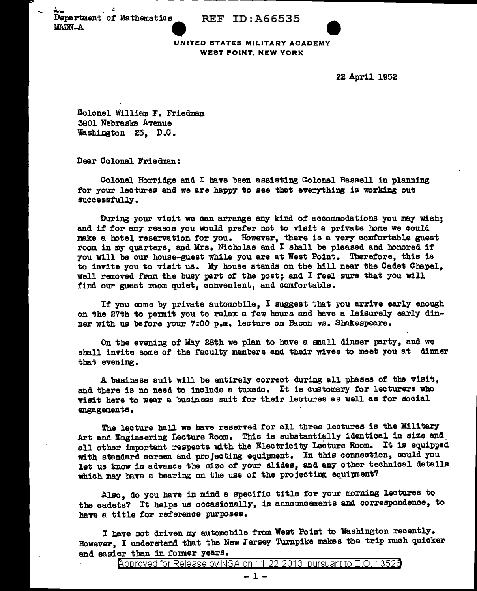Department of Mathematics REF ID: A66535 MADN-A



UNITED STATES MILITARY ACADEMY WEST POINT, NEW YORK

22 April 1952

Dolonel William F. Friedman 3801 Nebraska Avenue Washington 25, D.C.

Dear Colonel Friedman:

Colonel Horridge and I have been assisting Colonel Bessell in planning for your lectures and we are happy to see that everything is working out successfully.

During your visit we can arrange any kind of accommodations you may wish; and if for any reason you would prefer not to visit a private home we could make a hotel reservation for you. However, there is a very comfortable guest room in my quarters, and Mrs. Nicholas and I shall be pleased and honored if you will be our house-guest while you are at West Point. Therefore, this is to invite you to visit us. My house stands on the hill near the Cadet Chapel, well removed from the busy part of the post; end I feel sure that you will find our guest room quiet, convenient, and comfortable.

If you come by private automobile, I suggest that you arrive early enough on the 27th to permit you to relax a few hours and have a leisurely early dinner with us before your 7:00 p.m. lecture on Bacon vs. Sbakespeare.

On the evening of' May 28th we plan to have a emall dinner party, and we shall invite some of the faculty members and their wives to meet you at dinner that evening.

A basiness suit will be entirely correct during all phases of the visit, and there is no need to include a tuxedo. It is customary for lecturers who visit here to wear a business suit for their lectures as well as for social engagements.

The lecture hall we have reserved for all three lectures is the Military Art and Engineering Lecture Room. This is substantially identical in size and. all other important respects with the Electricity lecture Room. It is equipped With standard screen and projecting equipment. In this connection, could you let us know in advance the size *ot* your slides, and any other technical details which may have a bearing on the use of the projecting equipment?

Also, do you have in mind a specific title for your morning lectures to the cadets? It helps us occasionally, in announcements and correspondence, to have a title for reference purposes.

I bave not driven my automobile from West Point to Washington recently. However, I understand that the New Jersey Turnpike makes the trip much quicker and easier than in former years.